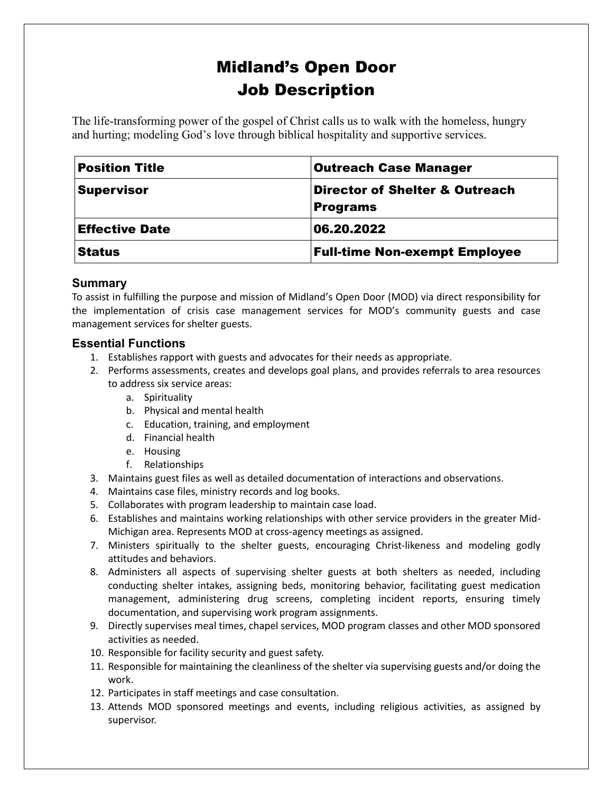# Midland's Open Door Job Description

The life-transforming power of the gospel of Christ calls us to walk with the homeless, hungry and hurting; modeling God's love through biblical hospitality and supportive services.

| <b>Position Title</b> | <b>Outreach Case Manager</b>                                 |
|-----------------------|--------------------------------------------------------------|
| <b>Supervisor</b>     | <b>Director of Shelter &amp; Outreach</b><br><b>Programs</b> |
| <b>Effective Date</b> | 06.20.2022                                                   |
| <b>Status</b>         | <b>Full-time Non-exempt Employee</b>                         |

# **Summary**

To assist in fulfilling the purpose and mission of Midland's Open Door (MOD) via direct responsibility for the implementation of crisis case management services for MOD's community guests and case management services for shelter guests.

# **Essential Functions**

- 1. Establishes rapport with guests and advocates for their needs as appropriate.
- 2. Performs assessments, creates and develops goal plans, and provides referrals to area resources to address six service areas:
	- a. Spirituality
	- b. Physical and mental health
	- c. Education, training, and employment
	- d. Financial health
	- e. Housing
	- f. Relationships
- 3. Maintains guest files as well as detailed documentation of interactions and observations.
- 4. Maintains case files, ministry records and log books.
- 5. Collaborates with program leadership to maintain case load.
- 6. Establishes and maintains working relationships with other service providers in the greater Mid-Michigan area. Represents MOD at cross-agency meetings as assigned.
- 7. Ministers spiritually to the shelter guests, encouraging Christ-likeness and modeling godly attitudes and behaviors.
- 8. Administers all aspects of supervising shelter guests at both shelters as needed, including conducting shelter intakes, assigning beds, monitoring behavior, facilitating guest medication management, administering drug screens, completing incident reports, ensuring timely documentation, and supervising work program assignments.
- 9. Directly supervises meal times, chapel services, MOD program classes and other MOD sponsored activities as needed.
- 10. Responsible for facility security and guest safety.
- 11. Responsible for maintaining the cleanliness of the shelter via supervising guests and/or doing the work.
- 12. Participates in staff meetings and case consultation.
- 13. Attends MOD sponsored meetings and events, including religious activities, as assigned by supervisor.